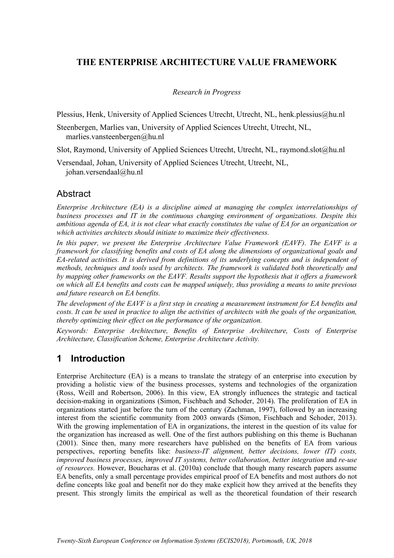## **THE ENTERPRISE ARCHITECTURE VALUE FRAMEWORK**

#### *Research in Progress*

Plessius, Henk, University of Applied Sciences Utrecht, Utrecht, NL, henk.plessius@hu.nl

Steenbergen, Marlies van, University of Applied Sciences Utrecht, Utrecht, NL, marlies.vansteenbergen@hu.nl

Slot, Raymond, University of Applied Sciences Utrecht, Utrecht, NL, raymond.slot@hu.nl

Versendaal, Johan, University of Applied Sciences Utrecht, Utrecht, NL, johan.versendaal@hu.nl

### **Abstract**

*Enterprise Architecture (EA) is a discipline aimed at managing the complex interrelationships of business processes and IT in the continuous changing environment of organizations. Despite this ambitious agenda of EA, it is not clear what exactly constitutes the value of EA for an organization or which activities architects should initiate to maximize their effectiveness.*

*In this paper, we present the Enterprise Architecture Value Framework (EAVF). The EAVF is a framework for classifying benefits and costs of EA along the dimensions of organizational goals and EA-related activities. It is derived from definitions of its underlying concepts and is independent of methods, techniques and tools used by architects. The framework is validated both theoretically and by mapping other frameworks on the EAVF. Results support the hypothesis that it offers a framework on which all EA benefits and costs can be mapped uniquely, thus providing a means to unite previous and future research on EA benefits.* 

*The development of the EAVF is a first step in creating a measurement instrument for EA benefits and costs. It can be used in practice to align the activities of architects with the goals of the organization, thereby optimizing their effect on the performance of the organization.*

*Keywords: Enterprise Architecture, Benefits of Enterprise Architecture, Costs of Enterprise Architecture, Classification Scheme, Enterprise Architecture Activity.*

# **1 Introduction**

Enterprise Architecture (EA) is a means to translate the strategy of an enterprise into execution by providing a holistic view of the business processes, systems and technologies of the organization (Ross, Weill and Robertson, 2006). In this view, EA strongly influences the strategic and tactical decision-making in organizations (Simon, Fischbach and Schoder, 2014). The proliferation of EA in organizations started just before the turn of the century (Zachman, 1997), followed by an increasing interest from the scientific community from 2003 onwards (Simon, Fischbach and Schoder, 2013). With the growing implementation of EA in organizations, the interest in the question of its value for the organization has increased as well. One of the first authors publishing on this theme is Buchanan (2001). Since then, many more researchers have published on the benefits of EA from various perspectives, reporting benefits like: *business-IT alignment, better decisions, lower (IT) costs, improved business processes, improved IT systems, better collaboration, better integration* and *re-use of resources.* However, Boucharas et al. (2010a) conclude that though many research papers assume EA benefits, only a small percentage provides empirical proof of EA benefits and most authors do not define concepts like goal and benefit nor do they make explicit how they arrived at the benefits they present. This strongly limits the empirical as well as the theoretical foundation of their research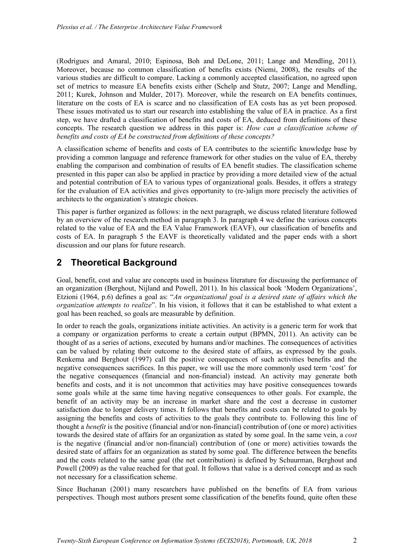(Rodrigues and Amaral, 2010; Espinosa, Boh and DeLone, 2011; Lange and Mendling, 2011). Moreover, because no common classification of benefits exists (Niemi, 2008), the results of the various studies are difficult to compare. Lacking a commonly accepted classification, no agreed upon set of metrics to measure EA benefits exists either (Schelp and Stutz, 2007; Lange and Mendling, 2011; Kurek, Johnson and Mulder, 2017). Moreover, while the research on EA benefits continues, literature on the costs of EA is scarce and no classification of EA costs has as yet been proposed. These issues motivated us to start our research into establishing the value of EA in practice. As a first step, we have drafted a classification of benefits and costs of EA, deduced from definitions of these concepts. The research question we address in this paper is: *How can a classification scheme of benefits and costs of EA be constructed from definitions of these concepts?* 

A classification scheme of benefits and costs of EA contributes to the scientific knowledge base by providing a common language and reference framework for other studies on the value of EA, thereby enabling the comparison and combination of results of EA benefit studies. The classification scheme presented in this paper can also be applied in practice by providing a more detailed view of the actual and potential contribution of EA to various types of organizational goals. Besides, it offers a strategy for the evaluation of EA activities and gives opportunity to (re-)align more precisely the activities of architects to the organization's strategic choices.

This paper is further organized as follows: in the next paragraph, we discuss related literature followed by an overview of the research method in paragraph 3. In paragraph 4 we define the various concepts related to the value of EA and the EA Value Framework (EAVF), our classification of benefits and costs of EA. In paragraph 5 the EAVF is theoretically validated and the paper ends with a short discussion and our plans for future research.

## **2 Theoretical Background**

Goal, benefit, cost and value are concepts used in business literature for discussing the performance of an organization (Berghout, Nijland and Powell, 2011). In his classical book 'Modern Organizations', Etzioni (1964, p.6) defines a goal as: "*An organizational goal is a desired state of affairs which the organization attempts to realize*". In his vision, it follows that it can be established to what extent a goal has been reached, so goals are measurable by definition.

In order to reach the goals, organizations initiate activities. An activity is a generic term for work that a company or organization performs to create a certain output (BPMN, 2011). An activity can be thought of as a series of actions, executed by humans and/or machines. The consequences of activities can be valued by relating their outcome to the desired state of affairs, as expressed by the goals. Renkema and Berghout (1997) call the positive consequences of such activities benefits and the negative consequences sacrifices. In this paper, we will use the more commonly used term 'cost' for the negative consequences (financial and non-financial) instead. An activity may generate both benefits and costs, and it is not uncommon that activities may have positive consequences towards some goals while at the same time having negative consequences to other goals. For example, the benefit of an activity may be an increase in market share and the cost a decrease in customer satisfaction due to longer delivery times. It follows that benefits and costs can be related to goals by assigning the benefits and costs of activities to the goals they contribute to. Following this line of thought a *benefit* is the positive (financial and/or non-financial) contribution of (one or more) activities towards the desired state of affairs for an organization as stated by some goal. In the same vein, a *cost* is the negative (financial and/or non-financial) contribution of (one or more) activities towards the desired state of affairs for an organization as stated by some goal. The difference between the benefits and the costs related to the same goal (the net contribution) is defined by Schuurman, Berghout and Powell (2009) as the value reached for that goal. It follows that value is a derived concept and as such not necessary for a classification scheme.

Since Buchanan (2001) many researchers have published on the benefits of EA from various perspectives. Though most authors present some classification of the benefits found, quite often these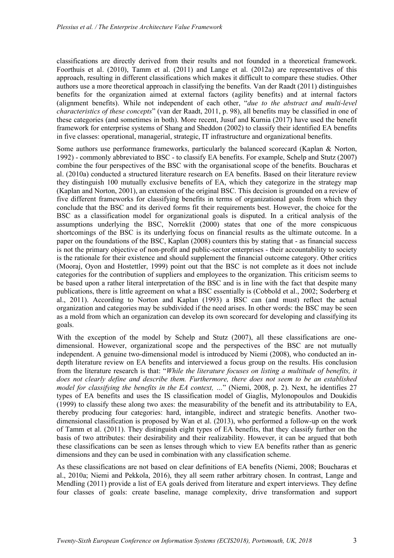classifications are directly derived from their results and not founded in a theoretical framework. Foorthuis et al. (2010), Tamm et al. (2011) and Lange et al. (2012a) are representatives of this approach, resulting in different classifications which makes it difficult to compare these studies. Other authors use a more theoretical approach in classifying the benefits. Van der Raadt (2011) distinguishes benefits for the organization aimed at external factors (agility benefits) and at internal factors (alignment benefits). While not independent of each other, "*due to the abstract and multi-level characteristics of these concepts*" (van der Raadt, 2011, p. 98), all benefits may be classified in one of these categories (and sometimes in both). More recent, Jusuf and Kurnia (2017) have used the benefit framework for enterprise systems of Shang and Sheddon (2002) to classify their identified EA benefits in five classes: operational, managerial, strategic, IT infrastructure and organizational benefits.

Some authors use performance frameworks, particularly the balanced scorecard (Kaplan & Norton, 1992) - commonly abbreviated to BSC - to classify EA benefits. For example, Schelp and Stutz (2007) combine the four perspectives of the BSC with the organisational scope of the benefits. Boucharas et al. (2010a) conducted a structured literature research on EA benefits. Based on their literature review they distinguish 100 mutually exclusive benefits of EA, which they categorize in the strategy map (Kaplan and Norton, 2001), an extension of the original BSC. This decision is grounded on a review of five different frameworks for classifying benefits in terms of organizational goals from which they conclude that the BSC and its derived forms fit their requirements best. However, the choice for the BSC as a classification model for organizational goals is disputed. In a critical analysis of the assumptions underlying the BSC, Norreklit (2000) states that one of the more conspicuous shortcomings of the BSC is its underlying focus on financial results as the ultimate outcome. In a paper on the foundations of the BSC, Kaplan (2008) counters this by stating that - as financial success is not the primary objective of non-profit and public-sector enterprises - their accountability to society is the rationale for their existence and should supplement the financial outcome category. Other critics (Mooraj, Oyon and Hostettler, 1999) point out that the BSC is not complete as it does not include categories for the contribution of suppliers and employees to the organization. This criticism seems to be based upon a rather literal interpretation of the BSC and is in line with the fact that despite many publications, there is little agreement on what a BSC essentially is (Cobbold et al., 2002; Soderberg et al., 2011). According to Norton and Kaplan (1993) a BSC can (and must) reflect the actual organization and categories may be subdivided if the need arises. In other words: the BSC may be seen as a mold from which an organization can develop its own scorecard for developing and classifying its goals.

With the exception of the model by Schelp and Stutz (2007), all these classifications are onedimensional. However, organizational scope and the perspectives of the BSC are not mutually independent. A genuine two-dimensional model is introduced by Niemi (2008), who conducted an indepth literature review on EA benefits and interviewed a focus group on the results. His conclusion from the literature research is that: "*While the literature focuses on listing a multitude of benefits, it does not clearly define and describe them. Furthermore, there does not seem to be an established model for classifying the benefits in the EA context, …*" (Niemi, 2008, p. 2). Next, he identifies 27 types of EA benefits and uses the IS classification model of Giaglis, Mylonopoulos and Doukidis (1999) to classify these along two axes: the measurability of the benefit and its attributability to EA, thereby producing four categories: hard, intangible, indirect and strategic benefits. Another twodimensional classification is proposed by Wan et al. (2013), who performed a follow-up on the work of Tamm et al. (2011). They distinguish eight types of EA benefits, that they classify further on the basis of two attributes: their desirability and their realizability. However, it can be argued that both these classifications can be seen as lenses through which to view EA benefits rather than as generic dimensions and they can be used in combination with any classification scheme.

As these classifications are not based on clear definitions of EA benefits (Niemi, 2008; Boucharas et al., 2010a; Niemi and Pekkola, 2016), they all seem rather arbitrary chosen. In contrast, Lange and Mendling (2011) provide a list of EA goals derived from literature and expert interviews. They define four classes of goals: create baseline, manage complexity, drive transformation and support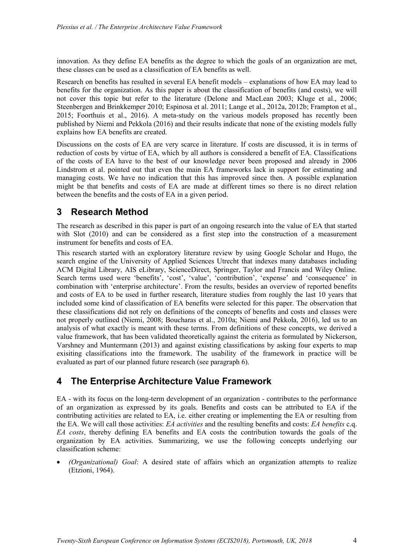innovation. As they define EA benefits as the degree to which the goals of an organization are met, these classes can be used as a classification of EA benefits as well.

Research on benefits has resulted in several EA benefit models – explanations of how EA may lead to benefits for the organization. As this paper is about the classification of benefits (and costs), we will not cover this topic but refer to the literature (Delone and MacLean 2003; Kluge et al., 2006; Steenbergen and Brinkkemper 2010; Espinosa et al. 2011; Lange et al., 2012a, 2012b; Frampton et al., 2015; Foorthuis et al., 2016). A meta-study on the various models proposed has recently been published by Niemi and Pekkola (2016) and their results indicate that none of the existing models fully explains how EA benefits are created.

Discussions on the costs of EA are very scarce in literature. If costs are discussed, it is in terms of reduction of costs by virtue of EA, which by all authors is considered a benefit of EA. Classifications of the costs of EA have to the best of our knowledge never been proposed and already in 2006 Lindstrom et al. pointed out that even the main EA frameworks lack in support for estimating and managing costs. We have no indication that this has improved since then. A possible explanation might be that benefits and costs of EA are made at different times so there is no direct relation between the benefits and the costs of EA in a given period.

## **3 Research Method**

The research as described in this paper is part of an ongoing research into the value of EA that started with Slot (2010) and can be considered as a first step into the construction of a measurement instrument for benefits and costs of EA.

This research started with an exploratory literature review by using Google Scholar and Hugo, the search engine of the University of Applied Sciences Utrecht that indexes many databases including ACM Digital Library, AIS eLibrary, ScienceDirect, Springer, Taylor and Francis and Wiley Online. Search terms used were 'benefits', 'cost', 'value', 'contribution', 'expense' and 'consequence' in combination with 'enterprise architecture'. From the results, besides an overview of reported benefits and costs of EA to be used in further research, literature studies from roughly the last 10 years that included some kind of classification of EA benefits were selected for this paper. The observation that these classifications did not rely on definitions of the concepts of benefits and costs and classes were not properly outlined (Niemi, 2008; Boucharas et al., 2010a; Niemi and Pekkola, 2016), led us to an analysis of what exactly is meant with these terms. From definitions of these concepts, we derived a value framework, that has been validated theoretically against the criteria as formulated by Nickerson, Varshney and Muntermann (2013) and against existing classifications by asking four experts to map exisiting classifications into the framework. The usability of the framework in practice will be evaluated as part of our planned future research (see paragraph 6).

## **4 The Enterprise Architecture Value Framework**

EA - with its focus on the long-term development of an organization - contributes to the performance of an organization as expressed by its goals. Benefits and costs can be attributed to EA if the contributing activities are related to EA, i.e. either creating or implementing the EA or resulting from the EA. We will call those activities: *EA activities* and the resulting benefits and costs: *EA benefits* c.q. *EA costs*, thereby defining EA benefits and EA costs the contribution towards the goals of the organization by EA activities. Summarizing, we use the following concepts underlying our classification scheme:

• *(Organizational) Goal*: A desired state of affairs which an organization attempts to realize (Etzioni, 1964).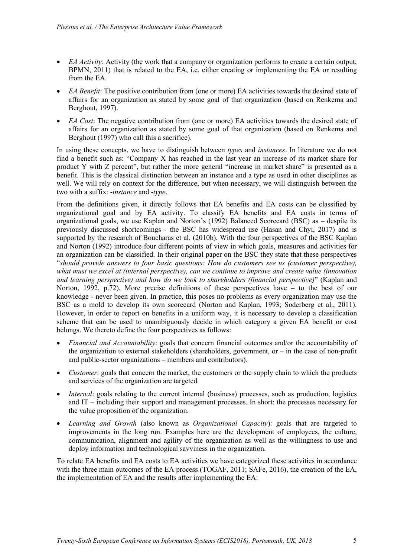- *EA Activity*: Activity (the work that a company or organization performs to create a certain output; BPMN, 2011) that is related to the EA, i.e. either creating or implementing the EA or resulting from the EA.
- *EA Benefit*: The positive contribution from (one or more) EA activities towards the desired state of affairs for an organization as stated by some goal of that organization (based on Renkema and Berghout, 1997).
- *EA Cost*: The negative contribution from (one or more) EA activities towards the desired state of affairs for an organization as stated by some goal of that organization (based on Renkema and Berghout (1997) who call this a sacrifice).

In using these concepts, we have to distinguish between *types* and *instances*. In literature we do not find a benefit such as: "Company X has reached in the last year an increase of its market share for product Y with Z percent", but rather the more general "increase in market share" is presented as a benefit. This is the classical distinction between an instance and a type as used in other disciplines as well. We will rely on context for the difference, but when necessary, we will distinguish between the two with a suffix: -*instance* and -*type*.

From the definitions given, it directly follows that EA benefits and EA costs can be classified by organizational goal and by EA activity. To classify EA benefits and EA costs in terms of organizational goals, we use Kaplan and Norton's (1992) Balanced Scorecard (BSC) as – despite its previously discussed shortcomings - the BSC has widespread use (Hasan and Chyi, 2017) and is supported by the research of Boucharas et al. (2010b). With the four perspectives of the BSC Kaplan and Norton (1992) introduce four different points of view in which goals, measures and activities for an organization can be classified. In their original paper on the BSC they state that these perspectives "*should provide answers to four basic questions: How do customers see us (customer perspective), what must we excel at (internal perspective), can we continue to improve and create value (innovation and learning perspective) and how do we look to shareholders (financial perspective)*" (Kaplan and Norton, 1992, p.72). More precise definitions of these perspectives have – to the best of our knowledge - never been given. In practice, this poses no problems as every organization may use the BSC as a mold to develop its own scorecard (Norton and Kaplan, 1993; Soderberg et al., 2011). However, in order to report on benefits in a uniform way, it is necessary to develop a classification scheme that can be used to unambiguously decide in which category a given EA benefit or cost belongs. We thereto define the four perspectives as follows:

- *Financial and Accountability*: goals that concern financial outcomes and/or the accountability of the organization to external stakeholders (shareholders, government, or – in the case of non-profit and public-sector organizations – members and contributors).
- *Customer*: goals that concern the market, the customers or the supply chain to which the products and services of the organization are targeted.
- *Internal:* goals relating to the current internal (business) processes, such as production, logistics and IT – including their support and management processes. In short: the processes necessary for the value proposition of the organization.
- *Learning and Growth* (also known as *Organizational Capacity*): goals that are targeted to improvements in the long run. Examples here are the development of employees, the culture, communication, alignment and agility of the organization as well as the willingness to use and deploy information and technological savviness in the organization.

To relate EA benefits and EA costs to EA activities we have categorized these activities in accordance with the three main outcomes of the EA process (TOGAF, 2011; SAFe, 2016), the creation of the EA, the implementation of EA and the results after implementing the EA: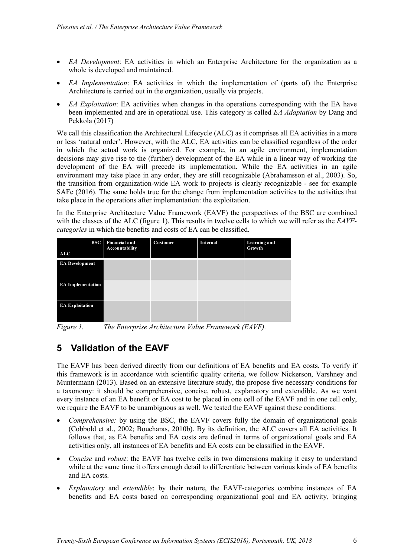- *EA Development*: EA activities in which an Enterprise Architecture for the organization as a whole is developed and maintained.
- *EA Implementation*: EA activities in which the implementation of (parts of) the Enterprise Architecture is carried out in the organization, usually via projects.
- *EA Exploitation*: EA activities when changes in the operations corresponding with the EA have been implemented and are in operational use. This category is called *EA Adaptation* by Dang and Pekkola (2017)

We call this classification the Architectural Lifecycle (ALC) as it comprises all EA activities in a more or less 'natural order'. However, with the ALC, EA activities can be classified regardless of the order in which the actual work is organized. For example, in an agile environment, implementation decisions may give rise to the (further) development of the EA while in a linear way of working the development of the EA will precede its implementation. While the EA activities in an agile environment may take place in any order, they are still recognizable (Abrahamsson et al., 2003). So, the transition from organization-wide EA work to projects is clearly recognizable - see for example SAFe (2016). The same holds true for the change from implementation activities to the activities that take place in the operations after implementation: the exploitation.

In the Enterprise Architecture Value Framework (EAVF) the perspectives of the BSC are combined with the classes of the ALC (figure 1). This results in twelve cells to which we will refer as the *EAVFcategories* in which the benefits and costs of EA can be classified.

| BSC<br>ALC               | <b>Financial and</b><br>Accountability | Customer | Internal | Learning and<br>Growth |
|--------------------------|----------------------------------------|----------|----------|------------------------|
| <b>EA Development</b>    |                                        |          |          |                        |
| <b>EA Implementation</b> |                                        |          |          |                        |
| <b>EA Exploitation</b>   |                                        |          |          |                        |

*Figure 1. The Enterprise Architecture Value Framework (EAVF).*

# **5 Validation of the EAVF**

The EAVF has been derived directly from our definitions of EA benefits and EA costs. To verify if this framework is in accordance with scientific quality criteria, we follow Nickerson, Varshney and Muntermann (2013). Based on an extensive literature study, the propose five necessary conditions for a taxonomy: it should be comprehensive, concise, robust, explanatory and extendible. As we want every instance of an EA benefit or EA cost to be placed in one cell of the EAVF and in one cell only, we require the EAVF to be unambiguous as well. We tested the EAVF against these conditions:

- *Comprehensive:* by using the BSC, the EAVF covers fully the domain of organizational goals (Cobbold et al., 2002; Boucharas, 2010b). By its definition, the ALC covers all EA activities. It follows that, as EA benefits and EA costs are defined in terms of organizational goals and EA activities only, all instances of EA benefits and EA costs can be classified in the EAVF.
- *Concise* and *robust*: the EAVF has twelve cells in two dimensions making it easy to understand while at the same time it offers enough detail to differentiate between various kinds of EA benefits and EA costs.
- *Explanatory* and *extendible*: by their nature, the EAVF-categories combine instances of EA benefits and EA costs based on corresponding organizational goal and EA activity, bringing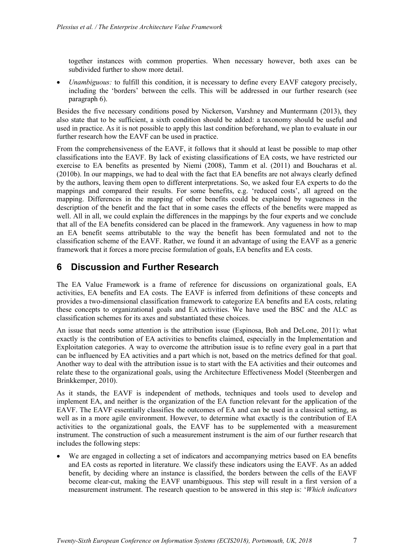together instances with common properties. When necessary however, both axes can be subdivided further to show more detail.

• *Unambiguous:* to fulfill this condition, it is necessary to define every EAVF category precisely, including the 'borders' between the cells. This will be addressed in our further research (see paragraph 6).

Besides the five necessary conditions posed by Nickerson, Varshney and Muntermann (2013), they also state that to be sufficient, a sixth condition should be added: a taxonomy should be useful and used in practice. As it is not possible to apply this last condition beforehand, we plan to evaluate in our further research how the EAVF can be used in practice.

From the comprehensiveness of the EAVF, it follows that it should at least be possible to map other classifications into the EAVF. By lack of existing classifications of EA costs, we have restricted our exercise to EA benefits as presented by Niemi (2008), Tamm et al. (2011) and Boucharas et al. (2010b). In our mappings, we had to deal with the fact that EA benefits are not always clearly defined by the authors, leaving them open to different interpretations. So, we asked four EA experts to do the mappings and compared their results. For some benefits, e.g. 'reduced costs', all agreed on the mapping. Differences in the mapping of other benefits could be explained by vagueness in the description of the benefit and the fact that in some cases the effects of the benefits were mapped as well. All in all, we could explain the differences in the mappings by the four experts and we conclude that all of the EA benefits considered can be placed in the framework. Any vagueness in how to map an EA benefit seems attributable to the way the benefit has been formulated and not to the classification scheme of the EAVF. Rather, we found it an advantage of using the EAVF as a generic framework that it forces a more precise formulation of goals, EA benefits and EA costs.

### **6 Discussion and Further Research**

The EA Value Framework is a frame of reference for discussions on organizational goals, EA activities, EA benefits and EA costs. The EAVF is inferred from definitions of these concepts and provides a two-dimensional classification framework to categorize EA benefits and EA costs, relating these concepts to organizational goals and EA activities. We have used the BSC and the ALC as classification schemes for its axes and substantiated these choices.

An issue that needs some attention is the attribution issue (Espinosa, Boh and DeLone, 2011): what exactly is the contribution of EA activities to benefits claimed, especially in the Implementation and Exploitation categories. A way to overcome the attribution issue is to refine every goal in a part that can be influenced by EA activities and a part which is not, based on the metrics defined for that goal. Another way to deal with the attribution issue is to start with the EA activities and their outcomes and relate these to the organizational goals, using the Architecture Effectiveness Model (Steenbergen and Brinkkemper, 2010).

As it stands, the EAVF is independent of methods, techniques and tools used to develop and implement EA, and neither is the organization of the EA function relevant for the application of the EAVF. The EAVF essentially classifies the outcomes of EA and can be used in a classical setting, as well as in a more agile environment. However, to determine what exactly is the contribution of EA activities to the organizational goals, the EAVF has to be supplemented with a measurement instrument. The construction of such a measurement instrument is the aim of our further research that includes the following steps:

• We are engaged in collecting a set of indicators and accompanying metrics based on EA benefits and EA costs as reported in literature. We classify these indicators using the EAVF. As an added benefit, by deciding where an instance is classified, the borders between the cells of the EAVF become clear-cut, making the EAVF unambiguous. This step will result in a first version of a measurement instrument. The research question to be answered in this step is: '*Which indicators*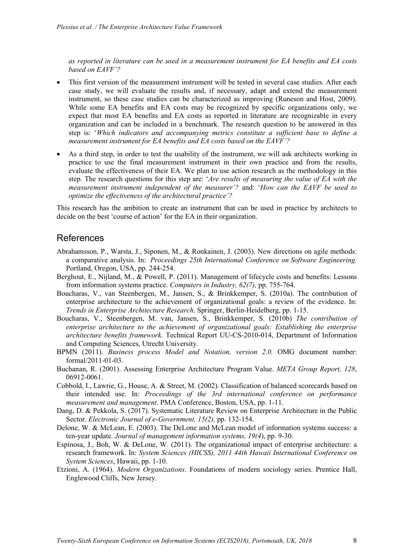*as reported in literature can be used in a measurement instrument for EA benefits and EA costs based on EAVF'?*

- This first version of the measurement instrument will be tested in several case studies. After each case study, we will evaluate the results and, if necessary, adapt and extend the measurement instrument, so these case studies can be characterized as improving (Runeson and Host, 2009). While some EA benefits and EA costs may be recognized by specific organizations only, we expect that most EA benefits and EA costs as reported in literature are recognizable in every organization and can be included in a benchmark. The research question to be answered in this step is: '*Which indicators and accompanying metrics constitute a sufficient base to define a measurement instrument for EA benefits and EA costs based on the EAVF'?*
- As a third step, in order to test the usability of the instrument, we will ask architects working in practice to use the final measurement instrument in their own practice and from the results, evaluate the effectiveness of their EA. We plan to use action research as the methodology in this step. The research questions for this step are: '*Are results of measuring the value of EA with the measurement instrument independent of the measurer'?* and: '*How can the EAVF be used to optimize the effectiveness of the architectural practice'?*

This research has the ambition to create an instrument that can be used in practice by architects to decide on the best 'course of action' for the EA in their organization.

#### References

- Abrahamsson, P., Warsta, J., Siponen, M., & Ronkainen, J. (2003). New directions on agile methods: a comparative analysis. In: *Proceedings 25th International Conference on Software Engineering.*  Portland, Oregon, USA, pp. 244-254.
- Berghout, E., Nijland, M., & Powell, P. (2011). Management of lifecycle costs and benefits: Lessons from information systems practice. *Computers in Industry, 62(7),* pp. 755-764.
- Boucharas, V., van Steenbergen, M., Jansen, S., & Brinkkemper, S. (2010a). The contribution of enterprise architecture to the achievement of organizational goals: a review of the evidence. In: *Trends in Enterprise Architecture Research*. Springer, Berlin-Heidelberg, pp. 1-15.
- Boucharas, V., Steenbergen, M. van, Jansen, S., Brinkkemper, S. (2010b) *The contribution of enterprise architecture to the achievement of organizational goals: Establishing the enterprise architecture benefits framework.* Technical Report UU-CS-2010-014, Department of Information and Computing Sciences, Utrecht University.
- BPMN (2011). *Business process Model and Notation, version 2.0.* OMG document number: formal/2011-01-03.
- Buchanan, R. (2001). Assessing Enterprise Architecture Program Value. *META Group Report, 128*, 06912-0061.
- Cobbold, I., Lawrie, G., House, A. & Street, M. (2002). Classification of balanced scorecards based on their intended use. In: *Proceedings of the 3rd international conference on performance measurement and management*. PMA Conference, Boston, USA, pp. 1-11.
- Dang, D. & Pekkola, S. (2017). Systematic Literature Review on Enterprise Architecture in the Public Sector. *Electronic Journal of e-Government, 15(2),* pp. 132-154.
- Delone, W. & McLean, E. (2003). The DeLone and McLean model of information systems success: a ten-year update. *Journal of management information systems, 19(4*), pp. 9-30.
- Espinosa, J., Boh, W. & DeLone, W. (2011). The organizational impact of enterprise architecture: a research framework. In: *System Sciences (HICSS), 2011 44th Hawaii International Conference on System Sciences*, Hawaii, pp. 1-10.
- Etzioni, A. (1964). *Modern Organizations*. Foundations of modern sociology series. Prentice Hall, Englewood Cliffs, New Jersey.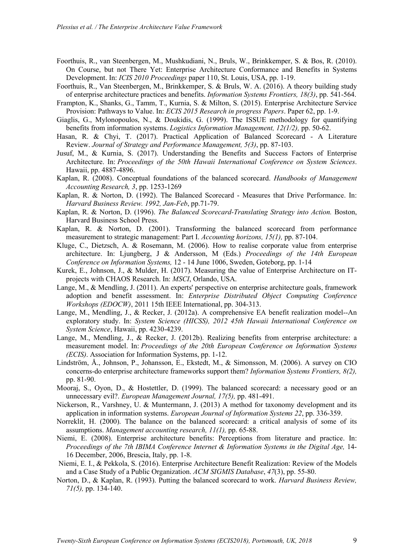- Foorthuis, R., van Steenbergen, M., Mushkudiani, N., Bruls, W., Brinkkemper, S. & Bos, R. (2010). On Course, but not There Yet: Enterprise Architecture Conformance and Benefits in Systems Development. In: *ICIS 2010 Proceedings* paper 110, St. Louis, USA, pp. 1-19.
- Foorthuis, R., Van Steenbergen, M., Brinkkemper, S. & Bruls, W. A. (2016). A theory building study of enterprise architecture practices and benefits. *Information Systems Frontiers, 18(3)*, pp. 541-564.
- Frampton, K., Shanks, G., Tamm, T., Kurnia, S. & Milton, S. (2015). Enterprise Architecture Service Provision: Pathways to Value. In: *ECIS 2015 Research in progress Papers*. Paper 62, pp. 1-9.
- Giaglis, G., Mylonopoulos, N., & Doukidis, G. (1999). The ISSUE methodology for quantifying benefits from information systems. *Logistics Information Management, 12(1/2),* pp. 50-62.
- Hasan, R. & Chyi, T. (2017). Practical Application of Balanced Scorecard A Literature Review. *Journal of Strategy and Performance Management, 5(3)*, pp. 87-103.
- Jusuf, M., & Kurnia, S. (2017). Understanding the Benefits and Success Factors of Enterprise Architecture. In: *Proceedings of the 50th Hawaii International Conference on System Sciences*. Hawaii, pp. 4887-4896.
- Kaplan, R. (2008). Conceptual foundations of the balanced scorecard. *Handbooks of Management Accounting Research, 3*, pp. 1253-1269
- Kaplan, R. & Norton, D. (1992). The Balanced Scorecard Measures that Drive Performance. In: *Harvard Business Review. 1992, Jan-Feb*, pp.71-79.
- Kaplan, R. & Norton, D. (1996). *The Balanced Scorecard-Translating Strategy into Action.* Boston, Harvard Business School Press.
- Kaplan, R. & Norton, D. (2001). Transforming the balanced scorecard from performance measurement to strategic management: Part I. *Accounting horizons, 15(1),* pp. 87-104.
- Kluge, C., Dietzsch, A. & Rosemann, M. (2006). How to realise corporate value from enterprise architecture. In: Ljungberg, J & Andersson, M (Eds.) *Proceedings of the 14th European Conference on Information Systems,* 12 - 14 June 1006, Sweden, Goteborg, pp. 1-14
- Kurek, E., Johnson, J., & Mulder, H. (2017). Measuring the value of Enterprise Architecture on ITprojects with CHAOS Research. In: *MSCI*, Orlando, USA.
- Lange, M., & Mendling, J. (2011). An experts' perspective on enterprise architecture goals, framework adoption and benefit assessment. In: *Enterprise Distributed Object Computing Conference Workshops (EDOCW)*, 2011 15th IEEE International, pp. 304-313.
- Lange, M., Mendling, J., & Recker, J. (2012a). A comprehensive EA benefit realization model--An exploratory study. In: *System Science (HICSS), 2012 45th Hawaii International Conference on System Science*, Hawaii, pp. 4230-4239.
- Lange, M., Mendling, J., & Recker, J. (2012b). Realizing benefits from enterprise architecture: a measurement model. In: *Proceedings of the 20th European Conference on Information Systems (ECIS)*. Association for Information Systems, pp. 1-12.
- Lindström, Å., Johnson, P., Johansson, E., Ekstedt, M., & Simonsson, M. (2006). A survey on CIO concerns-do enterprise architecture frameworks support them? *Information Systems Frontiers, 8(2),* pp. 81-90.
- Mooraj, S., Oyon, D., & Hostettler, D. (1999). The balanced scorecard: a necessary good or an unnecessary evil?. *European Management Journal, 17(5),* pp. 481-491.
- Nickerson, R., Varshney, U. & Muntermann, J. (2013) A method for taxonomy development and its application in information systems. *European Journal of Information Systems 22*, pp. 336-359.
- Norreklit, H. (2000). The balance on the balanced scorecard: a critical analysis of some of its assumptions. *Management accounting research, 11(1),* pp. 65-88.
- Niemi, E. (2008). Enterprise architecture benefits: Perceptions from literature and practice. In: *Proceedings of the 7th IBIMA Conference Internet & Information Systems in the Digital Age,* 14- 16 December, 2006, Brescia, Italy, pp. 1-8.
- Niemi, E. I., & Pekkola, S. (2016). Enterprise Architecture Benefit Realization: Review of the Models and a Case Study of a Public Organization. *ACM SIGMIS Database*, *47*(3), pp. 55-80.
- Norton, D., & Kaplan, R. (1993). Putting the balanced scorecard to work. *Harvard Business Review, 71(5),* pp. 134-140.